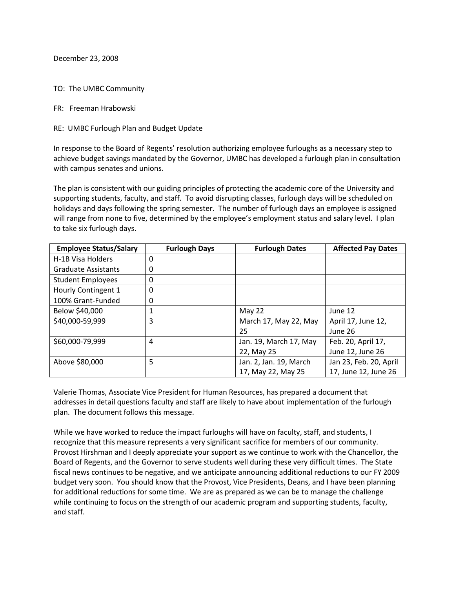December 23, 2008

TO: The UMBC Community

FR: Freeman Hrabowski

RE: UMBC Furlough Plan and Budget Update

In response to the Board of Regents' resolution authorizing employee furloughs as a necessary step to achieve budget savings mandated by the Governor, UMBC has developed a furlough plan in consultation with campus senates and unions.

The plan is consistent with our guiding principles of protecting the academic core of the University and supporting students, faculty, and staff. To avoid disrupting classes, furlough days will be scheduled on holidays and days following the spring semester. The number of furlough days an employee is assigned will range from none to five, determined by the employee's employment status and salary level. I plan to take six furlough days.

| <b>Employee Status/Salary</b> | <b>Furlough Days</b> | <b>Furlough Dates</b>  | <b>Affected Pay Dates</b> |
|-------------------------------|----------------------|------------------------|---------------------------|
| H-1B Visa Holders             | 0                    |                        |                           |
| <b>Graduate Assistants</b>    | 0                    |                        |                           |
| <b>Student Employees</b>      | 0                    |                        |                           |
| Hourly Contingent 1           | 0                    |                        |                           |
| 100% Grant-Funded             | 0                    |                        |                           |
| Below \$40,000                | 1                    | May 22                 | June 12                   |
| \$40,000-59,999               | 3                    | March 17, May 22, May  | April 17, June 12,        |
|                               |                      | 25                     | June 26                   |
| \$60,000-79,999               | 4                    | Jan. 19, March 17, May | Feb. 20, April 17,        |
|                               |                      | 22, May 25             | June 12, June 26          |
| Above \$80,000                | 5                    | Jan. 2, Jan. 19, March | Jan 23, Feb. 20, April    |
|                               |                      | 17, May 22, May 25     | 17, June 12, June 26      |

Valerie Thomas, Associate Vice President for Human Resources, has prepared a document that addresses in detail questions faculty and staff are likely to have about implementation of the furlough plan. The document follows this message.

While we have worked to reduce the impact furloughs will have on faculty, staff, and students, I recognize that this measure represents a very significant sacrifice for members of our community. Provost Hirshman and I deeply appreciate your support as we continue to work with the Chancellor, the Board of Regents, and the Governor to serve students well during these very difficult times. The State fiscal news continues to be negative, and we anticipate announcing additional reductions to our FY 2009 budget very soon. You should know that the Provost, Vice Presidents, Deans, and I have been planning for additional reductions for some time. We are as prepared as we can be to manage the challenge while continuing to focus on the strength of our academic program and supporting students, faculty, and staff.